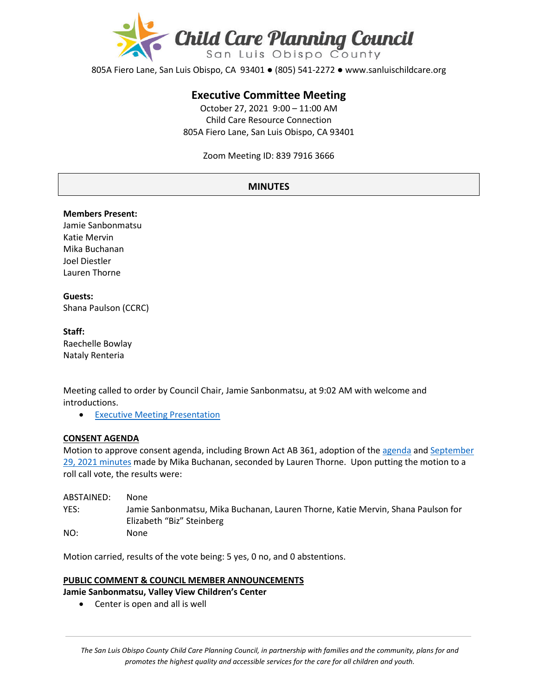

805A Fiero Lane, San Luis Obispo, CA 93401 ● (805) 541-2272 ● www.sanluischildcare.org

# **Executive Committee Meeting**

October 27, 2021 9:00 – 11:00 AM Child Care Resource Connection 805A Fiero Lane, San Luis Obispo, CA 93401

Zoom Meeting ID: 839 7916 3666

## **MINUTES**

#### **Members Present:**

Jamie Sanbonmatsu Katie Mervin Mika Buchanan Joel Diestler Lauren Thorne

## **Guests:**  Shana Paulson (CCRC)

#### **Staff:**

Raechelle Bowlay Nataly Renteria

Meeting called to order by Council Chair, Jamie Sanbonmatsu, at 9:02 AM with welcome and introductions.

• [Executive Meeting Presentation](https://www.canva.com/design/DAEs6FIogfA/Ki7m0KqDzcfNGulkM7Co5g/view?utm_content=DAEs6FIogfA&utm_campaign=designshare&utm_medium=link&utm_source=publishsharelink)

## **CONSENT AGENDA**

Motion to approve consent agenda, including Brown Act AB 361, adoption of th[e agenda](https://drive.google.com/file/d/1N9GRWkxpx_i4Ch7HEgewdoNg3Dm513M4/view?usp=sharing) and [September](https://drive.google.com/file/d/1g5lCGZGtP4iIUjIVZ-kcZ46zMFoak9RU/view?usp=sharing)  [29, 2021 minutes](https://drive.google.com/file/d/1g5lCGZGtP4iIUjIVZ-kcZ46zMFoak9RU/view?usp=sharing) made by Mika Buchanan, seconded by Lauren Thorne. Upon putting the motion to a roll call vote, the results were:

| ABSTAINED: | None                                                                                                          |
|------------|---------------------------------------------------------------------------------------------------------------|
| YES:       | Jamie Sanbonmatsu, Mika Buchanan, Lauren Thorne, Katie Mervin, Shana Paulson for<br>Elizabeth "Biz" Steinberg |
| NO:        | None                                                                                                          |

Motion carried, results of the vote being: 5 yes, 0 no, and 0 abstentions.

## **PUBLIC COMMENT & COUNCIL MEMBER ANNOUNCEMENTS**

- **Jamie Sanbonmatsu, Valley View Children's Center**
	- Center is open and all is well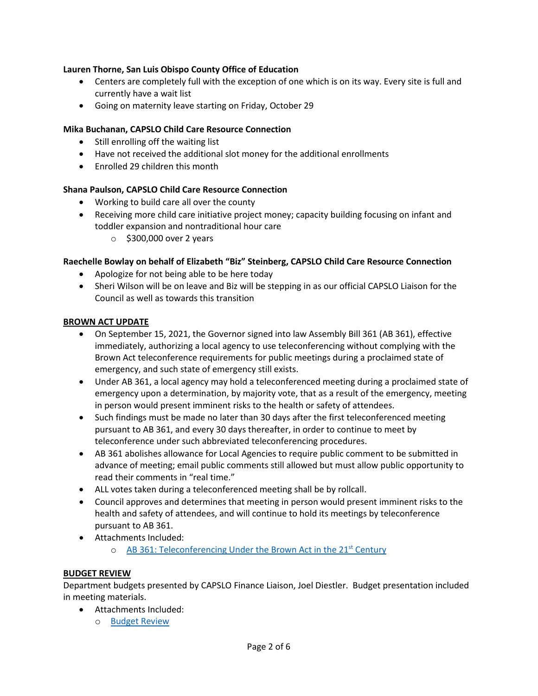## **Lauren Thorne, San Luis Obispo County Office of Education**

- Centers are completely full with the exception of one which is on its way. Every site is full and currently have a wait list
- Going on maternity leave starting on Friday, October 29

## **Mika Buchanan, CAPSLO Child Care Resource Connection**

- Still enrolling off the waiting list
- Have not received the additional slot money for the additional enrollments
- Enrolled 29 children this month

## **Shana Paulson, CAPSLO Child Care Resource Connection**

- Working to build care all over the county
- Receiving more child care initiative project money; capacity building focusing on infant and toddler expansion and nontraditional hour care
	- $\circ$  \$300,000 over 2 years

## **Raechelle Bowlay on behalf of Elizabeth "Biz" Steinberg, CAPSLO Child Care Resource Connection**

- Apologize for not being able to be here today
- Sheri Wilson will be on leave and Biz will be stepping in as our official CAPSLO Liaison for the Council as well as towards this transition

## **BROWN ACT UPDATE**

- On September 15, 2021, the Governor signed into law Assembly Bill 361 (AB 361), effective immediately, authorizing a local agency to use teleconferencing without complying with the Brown Act teleconference requirements for public meetings during a proclaimed state of emergency, and such state of emergency still exists.
- Under AB 361, a local agency may hold a teleconferenced meeting during a proclaimed state of emergency upon a determination, by majority vote, that as a result of the emergency, meeting in person would present imminent risks to the health or safety of attendees.
- Such findings must be made no later than 30 days after the first teleconferenced meeting pursuant to AB 361, and every 30 days thereafter, in order to continue to meet by teleconference under such abbreviated teleconferencing procedures.
- AB 361 abolishes allowance for Local Agencies to require public comment to be submitted in advance of meeting; email public comments still allowed but must allow public opportunity to read their comments in "real time."
- ALL votes taken during a teleconferenced meeting shall be by rollcall.
- Council approves and determines that meeting in person would present imminent risks to the health and safety of attendees, and will continue to hold its meetings by teleconference pursuant to AB 361.
- Attachments Included:
	- o [AB 361: Teleconferencing Under the Brown Act in the 21st](https://drive.google.com/file/d/1TXuGFDmtBGkzYC0SzWisx2YTSPZr67vg/view?usp=sharing) Century

## **BUDGET REVIEW**

Department budgets presented by CAPSLO Finance Liaison, Joel Diestler. Budget presentation included in meeting materials.

- Attachments Included:
	- o [Budget Review](https://drive.google.com/file/d/1tdJmc0tv6bPiDepFk9PnYZlg57CPKHfg/view?usp=sharing)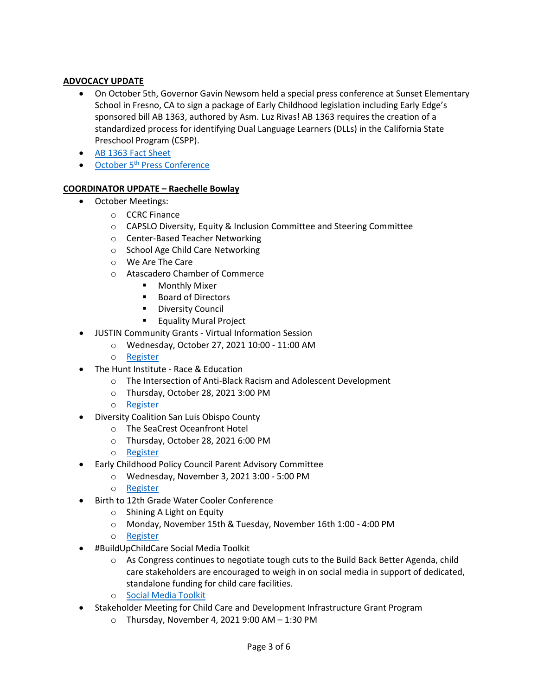## **ADVOCACY UPDATE**

- On October 5th, Governor Gavin Newsom held a special press conference at Sunset Elementary School in Fresno, CA to sign a package of Early Childhood legislation including Early Edge's sponsored bill AB 1363, authored by Asm. Luz Rivas! AB 1363 requires the creation of a standardized process for identifying Dual Language Learners (DLLs) in the California State Preschool Program (CSPP).
- [AB 1363 Fact Sheet](https://earlyedgecalifornia.org/wp-content/uploads/2021/05/AB-1363-Luz-Rivas-Factsheet_FINAL.pdf)
- October 5<sup>th</sup> [Press Conference](https://www.youtube.com/watch?v=UeIc68AEyf8)

## **COORDINATOR UPDATE – Raechelle Bowlay**

- October Meetings:
	- o CCRC Finance
	- o CAPSLO Diversity, Equity & Inclusion Committee and Steering Committee
	- o Center-Based Teacher Networking
	- o School Age Child Care Networking
	- o We Are The Care
	- o Atascadero Chamber of Commerce
		- **•** Monthly Mixer
		- Board of Directors
		- **Diversity Council**
		- **Equality Mural Project**
- JUSTIN Community Grants [Virtual Information Session](https://www.justinwinegrants.com/)
	- o Wednesday, October 27, 2021 10:00 11:00 AM
	- o [Register](https://wonderful.zoom.us/meeting/register/tJcsdeugqTsjHtT7PZ5WVp03audjhYIxY3j5)
- The Hunt Institute Race & Education
	- o The Intersection of Anti-Black Racism and Adolescent Development
	- o Thursday, October 28, 2021 3:00 PM
	- o [Register](https://zoom.us/webinar/register/5816336419969/WN_nrhFLREmRT-HuLCIzbd5OA)
- Diversity Coalition San Luis Obispo County
	- o The SeaCrest Oceanfront Hotel
	- o Thursday, October 28, 2021 6:00 PM
	- o [Register](https://www.diversityslo.org/fosteringunderstanding)
- Early Childhood Policy Council Parent Advisory Committee
	- o Wednesday, November 3, 2021 3:00 5:00 PM
	- o [Register](https://wested.zoom.us/webinar/register/WN_dhRlZylKTueVASqIBeRJyg)
- Birth to 12th Grade Water Cooler Conference
	- o Shining A Light on Equity
	- o Monday, November 15th & Tuesday, November 16th 1:00 4:00 PM
	- o [Register](https://www.advancementprojectca.org/birth-to-12th-grade-water-cooler-conference-shining-a-light-on-equity?emci=60b4d6a6-352c-ec11-981f-c896653b9208&emdi=9021b429-092d-ec11-981f-c896653b9208&ceid=10046063)
- #BuildUpChildCare Social Media Toolkit
	- $\circ$  As Congress continues to negotiate tough cuts to the Build Back Better Agenda, child care stakeholders are encouraged to weigh in on social media in support of dedicated, standalone funding for child care facilities.
	- o [Social Media Toolkit](https://www.ncfn.org/blog/buildupchildcare-social-media-toolkit)
- Stakeholder Meeting for Child Care and Development Infrastructure Grant Program
	- $\circ$  Thursday, November 4, 2021 9:00 AM 1:30 PM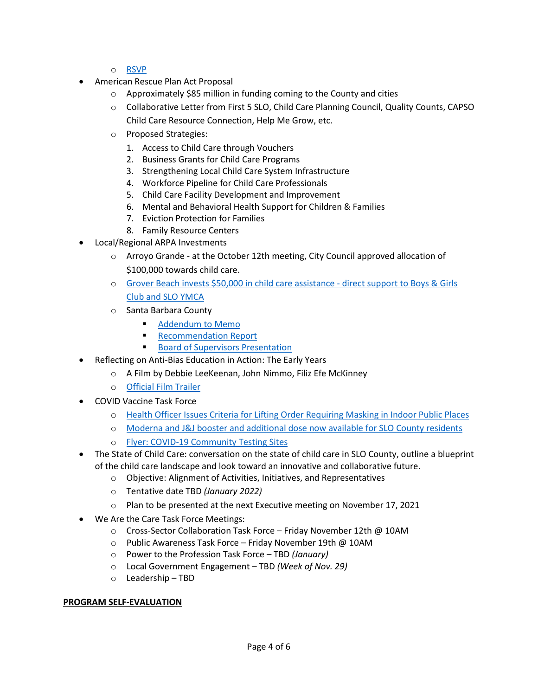- o [RSVP](mailto:CCDDFacilities@dss.ca.gov)
- American Rescue Plan Act Proposal
	- o Approximately \$85 million in funding coming to the County and cities
	- o Collaborative Letter from First 5 SLO, Child Care Planning Council, Quality Counts, CAPSO Child Care Resource Connection, Help Me Grow, etc.
	- o Proposed Strategies:
		- 1. Access to Child Care through Vouchers
		- 2. Business Grants for Child Care Programs
		- 3. Strengthening Local Child Care System Infrastructure
		- 4. Workforce Pipeline for Child Care Professionals
		- 5. Child Care Facility Development and Improvement
		- 6. Mental and Behavioral Health Support for Children & Families
		- 7. Eviction Protection for Families
		- 8. Family Resource Centers
- Local/Regional ARPA Investments
	- $\circ$  Arroyo Grande at the October 12th meeting, City Council approved allocation of \$100,000 towards child care.
	- o [Grover Beach invests \\$50,000 in child care assistance](https://www.newtimesslo.com/sanluisobispo/grover-beach-invests-50000-in-child-care-assistance/Content?oid=11628432&fbclid=IwAR1o6_3FSKtxiCARnsJrrnRvp_qGtaLfuW5tn8Q4O7tJRQPQrdCumtokvqA)  direct support to Boys & Girls [Club and SLO YM](https://www.newtimesslo.com/sanluisobispo/grover-beach-invests-50000-in-child-care-assistance/Content?oid=11628432&fbclid=IwAR1o6_3FSKtxiCARnsJrrnRvp_qGtaLfuW5tn8Q4O7tJRQPQrdCumtokvqA)C[A](https://www.newtimesslo.com/sanluisobispo/grover-beach-invests-50000-in-child-care-assistance/Content?oid=11628432&fbclid=IwAR1o6_3FSKtxiCARnsJrrnRvp_qGtaLfuW5tn8Q4O7tJRQPQrdCumtokvqA)
	- o Santa Barbara County
		- **[Addendum to Memo](https://drive.google.com/file/d/19v54lwgle81hDgzBAnG4TixbOkNwYTC5/view?usp=sharing)**
		- **[Recommendation Report](https://drive.google.com/file/d/1JBiySxW7NrnaDdfgTBX7T9xcYI0-jTCV/view?usp=sharing)**
		- **[Board of Supervisors Presentation](https://drive.google.com/file/d/12rSJF9_oynLLzCzvb-waLPSARuBISpa_/view?usp=sharing)**
- Reflecting on Anti-Bias Education in Action: The Early Years
	- o A Film by Debbie LeeKeenan, John Nimmo, Filiz Efe McKinney
	- o [Official Film Trailer](https://www.antibiasleadersece.com/the-film-reflecting-on-anti-bias-education-in-action/)
- COVID Vaccine Task Force
	- o [Health Officer Issues Criteria for Lifting Order Requiring Masking in Indoor Public Places](https://drive.google.com/file/d/1_47QqLWv0e92n5-I9lxjNsnPmqvT9SWA/view?usp=sharing)
	- o [Moderna and J&J booster and additional dose now available for SLO County residents](https://www.slocounty.ca.gov/Departments/Health-Agency/Public-Health/Department-News/COVID-19-Updates/COVID-19-Vaccine-Updates/COVID-19-Vaccine-Boosters-Now-Available-to-More-Sa.aspx)
	- o Flyer: COVID-[19 Community Testing Sites](https://drive.google.com/file/d/1PCr26xLtiVzId9HnOEpZLKiobH-pWstS/view)
- The State of Child Care: conversation on the state of child care in SLO County, outline a blueprint of the child care landscape and look toward an innovative and collaborative future.
	- o Objective: Alignment of Activities, Initiatives, and Representatives
	- o Tentative date TBD *(January 2022)*
	- $\circ$  Plan to be presented at the next Executive meeting on November 17, 2021
- We Are the Care Task Force Meetings:
	- o Cross-Sector Collaboration Task Force Friday November 12th @ 10AM
	- o Public Awareness Task Force Friday November 19th @ 10AM
	- o Power to the Profession Task Force TBD *(January)*
	- o Local Government Engagement TBD *(Week of Nov. 29)*
	- o Leadership TBD

## **PROGRAM SELF-EVALUATION**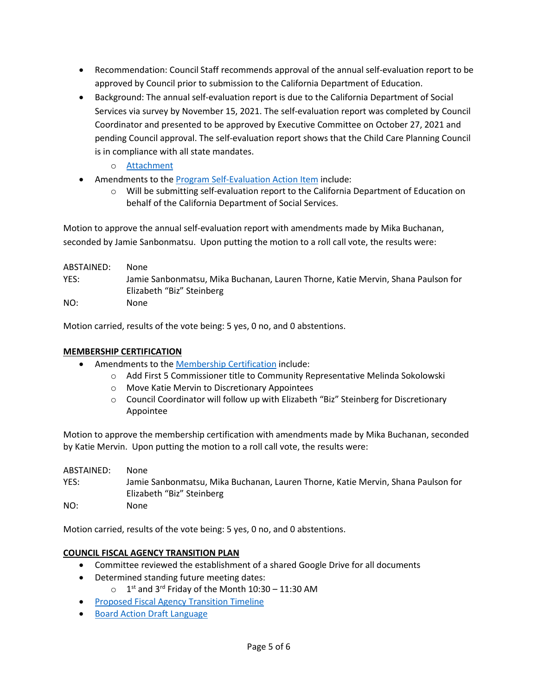- Recommendation: Council Staff recommends approval of the annual self-evaluation report to be approved by Council prior to submission to the California Department of Education.
- Background: The annual self-evaluation report is due to the California Department of Social Services via survey by November 15, 2021. The self-evaluation report was completed by Council Coordinator and presented to be approved by Executive Committee on October 27, 2021 and pending Council approval. The self-evaluation report shows that the Child Care Planning Council is in compliance with all state mandates.
	- o [Attachment](https://drive.google.com/file/d/1r-zUlpdNEPzLM5PY-H7wmEpqEZ0I-ZBN/view?usp=sharing)
- Amendments to the Program Self-[Evaluation Action Item](https://drive.google.com/file/d/1LaypG-X_UgKZIF75SJTL6VATL09zXu2c/view?usp=sharing) include:
	- o Will be submitting self-evaluation report to the California Department of Education on behalf of the California Department of Social Services.

Motion to approve the annual self-evaluation report with amendments made by Mika Buchanan, seconded by Jamie Sanbonmatsu. Upon putting the motion to a roll call vote, the results were:

| ABSTAINED: | None                                                                                                          |
|------------|---------------------------------------------------------------------------------------------------------------|
| YES:       | Jamie Sanbonmatsu, Mika Buchanan, Lauren Thorne, Katie Mervin, Shana Paulson for<br>Elizabeth "Biz" Steinberg |
| NO:        | None                                                                                                          |

Motion carried, results of the vote being: 5 yes, 0 no, and 0 abstentions.

## **MEMBERSHIP CERTIFICATION**

- Amendments to the [Membership Certification](https://drive.google.com/file/d/1T-Ncyyv3aXBIU2rWdZhqzvkV5i88vxq9/view?usp=sharing) include:
	- o Add First 5 Commissioner title to Community Representative Melinda Sokolowski
	- o Move Katie Mervin to Discretionary Appointees
	- o Council Coordinator will follow up with Elizabeth "Biz" Steinberg for Discretionary Appointee

Motion to approve the membership certification with amendments made by Mika Buchanan, seconded by Katie Mervin. Upon putting the motion to a roll call vote, the results were:

| ABSTAINED: | None.                                                                                                         |
|------------|---------------------------------------------------------------------------------------------------------------|
| YES:       | Jamie Sanbonmatsu, Mika Buchanan, Lauren Thorne, Katie Mervin, Shana Paulson for<br>Elizabeth "Biz" Steinberg |
| NO:        | None                                                                                                          |

Motion carried, results of the vote being: 5 yes, 0 no, and 0 abstentions.

## **COUNCIL FISCAL AGENCY TRANSITION PLAN**

- Committee reviewed the establishment of a shared Google Drive for all documents
- Determined standing future meeting dates:
	- $\circ$  1<sup>st</sup> and 3<sup>rd</sup> Friday of the Month 10:30 11:30 AM
- [Proposed Fiscal Agency Transition Timeline](https://docs.google.com/document/d/18QGLBHfYy8R_X4f7GT9_Kptdrw7O-tLxDzTm3H1Q4zs/edit)
- [Board Action Draft Language](https://docs.google.com/document/d/1-FBLvZ6WCt8J1j3iwsCUNMXCbEp9AHuvOaIZcuhA18U/edit)